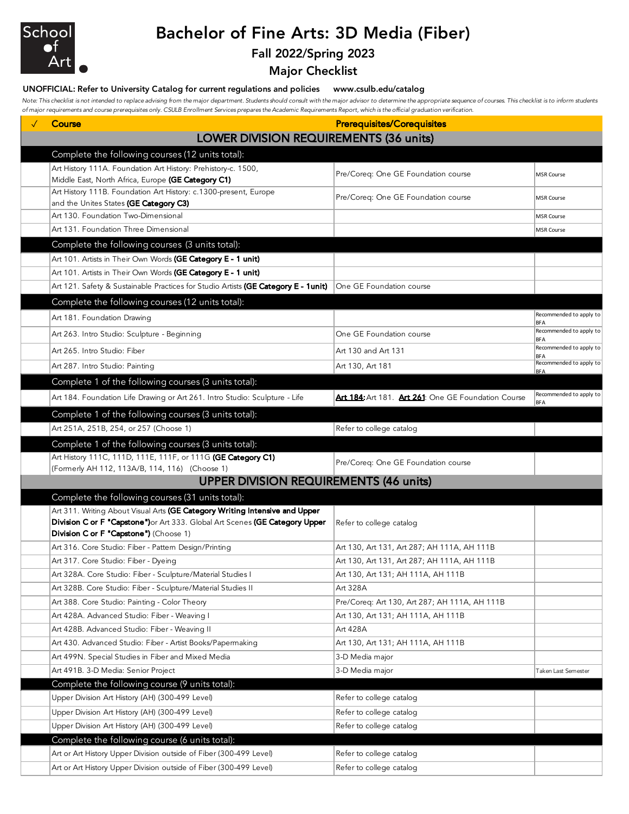

# Bachelor of Fine Arts: 3D Media (Fiber)

### Fall 2022/Spring 2023

Major Checklist

#### UNOFFICIAL: Refer to University Catalog for current regulations and policies www.csulb.edu/catalog

Note: This checklist is not intended to replace advising from the major department. Students should consult with the major advisor to determine the appropriate sequence of courses. This checklist is to inform students *of major requirements and course prerequisites only. CSULB Enrollment Services prepares the Academic Requirements Report, which is the official graduation verification.*

| Course                                                                                                                          | <b>Prerequisites/Corequisites</b>                   |                                       |
|---------------------------------------------------------------------------------------------------------------------------------|-----------------------------------------------------|---------------------------------------|
| <b>LOWER DIVISION REQUIREMENTS (36 units)</b>                                                                                   |                                                     |                                       |
| Complete the following courses (12 units total):                                                                                |                                                     |                                       |
| Art History 111A. Foundation Art History: Prehistory-c. 1500,                                                                   | Pre/Coreq: One GE Foundation course                 | MSR Course                            |
| Middle East, North Africa, Europe (GE Category C1)                                                                              |                                                     |                                       |
| Art History 111B. Foundation Art History: c.1300-present, Europe<br>and the Unites States (GE Category C3)                      | Pre/Coreq: One GE Foundation course                 | <b>MSR Course</b>                     |
| Art 130. Foundation Two-Dimensional                                                                                             |                                                     | <b>MSR Course</b>                     |
| Art 131. Foundation Three Dimensional                                                                                           |                                                     | <b>MSR Course</b>                     |
| Complete the following courses (3 units total):                                                                                 |                                                     |                                       |
| Art 101. Artists in Their Own Words (GE Category E - 1 unit)                                                                    |                                                     |                                       |
| Art 101. Artists in Their Own Words (GE Category E - 1 unit)                                                                    |                                                     |                                       |
| Art 121. Safety & Sustainable Practices for Studio Artists (GE Category E - 1unit)                                              | One GE Foundation course                            |                                       |
| Complete the following courses (12 units total):                                                                                |                                                     |                                       |
| Art 181. Foundation Drawing                                                                                                     |                                                     | Recommended to apply to<br><b>BFA</b> |
| Art 263. Intro Studio: Sculpture - Beginning                                                                                    | One GE Foundation course                            | Recommended to apply to<br><b>BFA</b> |
| Art 265. Intro Studio: Fiber                                                                                                    | Art 130 and Art 131                                 | Recommended to apply to<br><b>BFA</b> |
| Art 287. Intro Studio: Painting                                                                                                 | Art 130, Art 181                                    | Recommended to apply to<br><b>BFA</b> |
| Complete 1 of the following courses (3 units total):                                                                            |                                                     |                                       |
| Art 184. Foundation Life Drawing or Art 261. Intro Studio: Sculpture - Life                                                     | Art 184: Art 181. Art 261: One GE Foundation Course | Recommended to apply to<br><b>BFA</b> |
| Complete 1 of the following courses (3 units total):                                                                            |                                                     |                                       |
| Art 251A, 251B, 254, or 257 (Choose 1)                                                                                          | Refer to college catalog                            |                                       |
| Complete 1 of the following courses (3 units total):                                                                            |                                                     |                                       |
| Art History 111C, 111D, 111E, 111F, or 111G (GE Category C1)                                                                    | Pre/Coreq: One GE Foundation course                 |                                       |
| (Formerly AH 112, 113A/B, 114, 116) (Choose 1)<br><b>UPPER DIVISION REQUIREMENTS (46 units)</b>                                 |                                                     |                                       |
|                                                                                                                                 |                                                     |                                       |
| Complete the following courses (31 units total):<br>Art 311. Writing About Visual Arts (GE Category Writing Intensive and Upper |                                                     |                                       |
| Division C or F "Capstone") or Art 333. Global Art Scenes (GE Category Upper                                                    | Refer to college catalog                            |                                       |
| Division C or F "Capstone") (Choose 1)                                                                                          |                                                     |                                       |
| Art 316. Core Studio: Fiber - Pattern Design/Printing                                                                           | Art 130, Art 131, Art 287; AH 111A, AH 111B         |                                       |
| Art 317. Core Studio: Fiber - Dyeing                                                                                            | Art 130, Art 131, Art 287; AH 111A, AH 111B         |                                       |
| Art 328A. Core Studio: Fiber - Sculpture/Material Studies I                                                                     | Art 130, Art 131; AH 111A, AH 111B                  |                                       |
| Art 328B. Core Studio: Fiber - Sculpture/Material Studies II                                                                    | Art 328A                                            |                                       |
| Art 388. Core Studio: Painting - Color Theory                                                                                   | Pre/Coreq: Art 130, Art 287; AH 111A, AH 111B       |                                       |
| Art 428A. Advanced Studio: Fiber - Weaving I<br>Art 428B. Advanced Studio: Fiber - Weaving II                                   | Art 130, Art 131; AH 111A, AH 111B                  |                                       |
| Art 430. Advanced Studio: Fiber - Artist Books/Papermaking                                                                      | Art 428A<br>Art 130, Art 131; AH 111A, AH 111B      |                                       |
| Art 499N. Special Studies in Fiber and Mixed Media                                                                              | 3-D Media major                                     |                                       |
| Art 491B. 3-D Media: Senior Project                                                                                             | 3-D Media major                                     | Taken Last Semester                   |
| Complete the following course (9 units total):                                                                                  |                                                     |                                       |
| Upper Division Art History (AH) (300-499 Level)                                                                                 | Refer to college catalog                            |                                       |
| Upper Division Art History (AH) (300-499 Level)                                                                                 | Refer to college catalog                            |                                       |
| Upper Division Art History (AH) (300-499 Level)                                                                                 | Refer to college catalog                            |                                       |
| Complete the following course (6 units total):                                                                                  |                                                     |                                       |
| Art or Art History Upper Division outside of Fiber (300-499 Level)                                                              | Refer to college catalog                            |                                       |
| Art or Art History Upper Division outside of Fiber (300-499 Level)                                                              | Refer to college catalog                            |                                       |